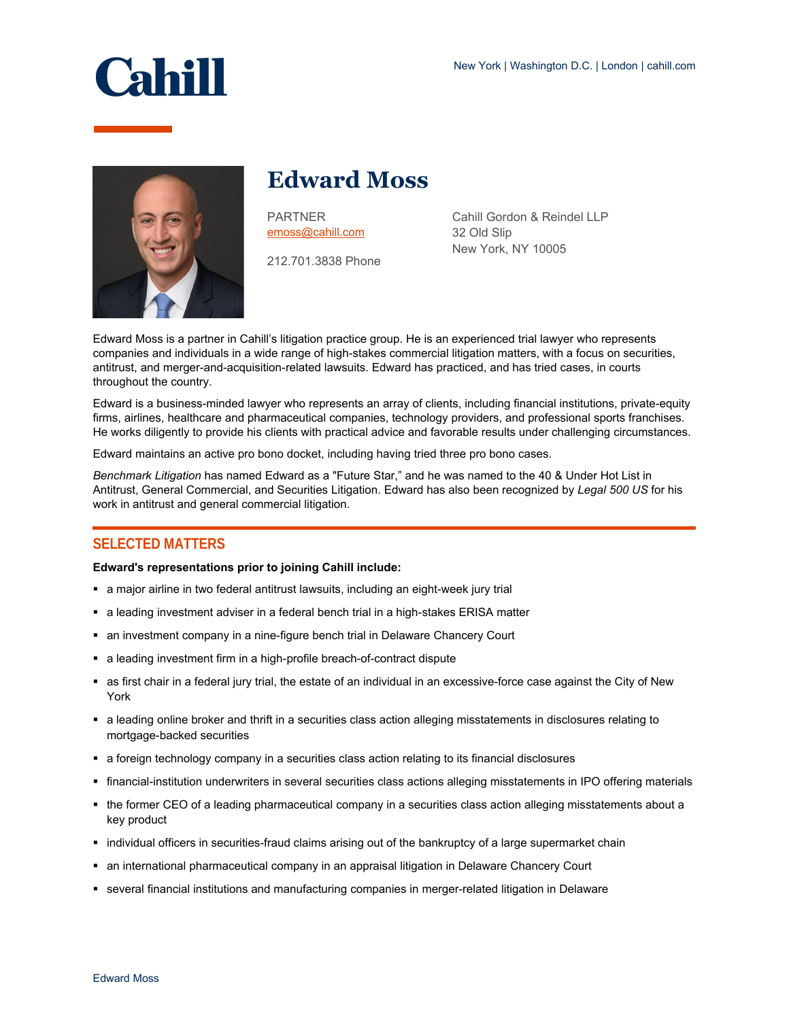



# **Edward Moss**

PARTNER [emoss@cahill.com](mailto:emoss@cahill.com)

212.701.3838 Phone

Cahill Gordon & Reindel LLP 32 Old Slip New York, NY 10005

Edward Moss is a partner in Cahill's litigation practice group. He is an experienced trial lawyer who represents companies and individuals in a wide range of high-stakes commercial litigation matters, with a focus on securities, antitrust, and merger-and-acquisition-related lawsuits. Edward has practiced, and has tried cases, in courts throughout the country.

Edward is a business-minded lawyer who represents an array of clients, including financial institutions, private-equity firms, airlines, healthcare and pharmaceutical companies, technology providers, and professional sports franchises. He works diligently to provide his clients with practical advice and favorable results under challenging circumstances.

Edward maintains an active pro bono docket, including having tried three pro bono cases.

*Benchmark Litigation* has named Edward as a "Future Star," and he was named to the 40 & Under Hot List in Antitrust, General Commercial, and Securities Litigation. Edward has also been recognized by *Legal 500 US* for his work in antitrust and general commercial litigation.

## **SELECTED MATTERS**

#### **Edward's representations prior to joining Cahill include:**

- a major airline in two federal antitrust lawsuits, including an eight-week jury trial
- a leading investment adviser in a federal bench trial in a high-stakes ERISA matter
- an investment company in a nine-figure bench trial in Delaware Chancery Court
- a leading investment firm in a high-profile breach-of-contract dispute
- as first chair in a federal jury trial, the estate of an individual in an excessive-force case against the City of New York
- a leading online broker and thrift in a securities class action alleging misstatements in disclosures relating to mortgage-backed securities
- a foreign technology company in a securities class action relating to its financial disclosures
- financial-institution underwriters in several securities class actions alleging misstatements in IPO offering materials
- the former CEO of a leading pharmaceutical company in a securities class action alleging misstatements about a key product
- individual officers in securities-fraud claims arising out of the bankruptcy of a large supermarket chain
- an international pharmaceutical company in an appraisal litigation in Delaware Chancery Court
- several financial institutions and manufacturing companies in merger-related litigation in Delaware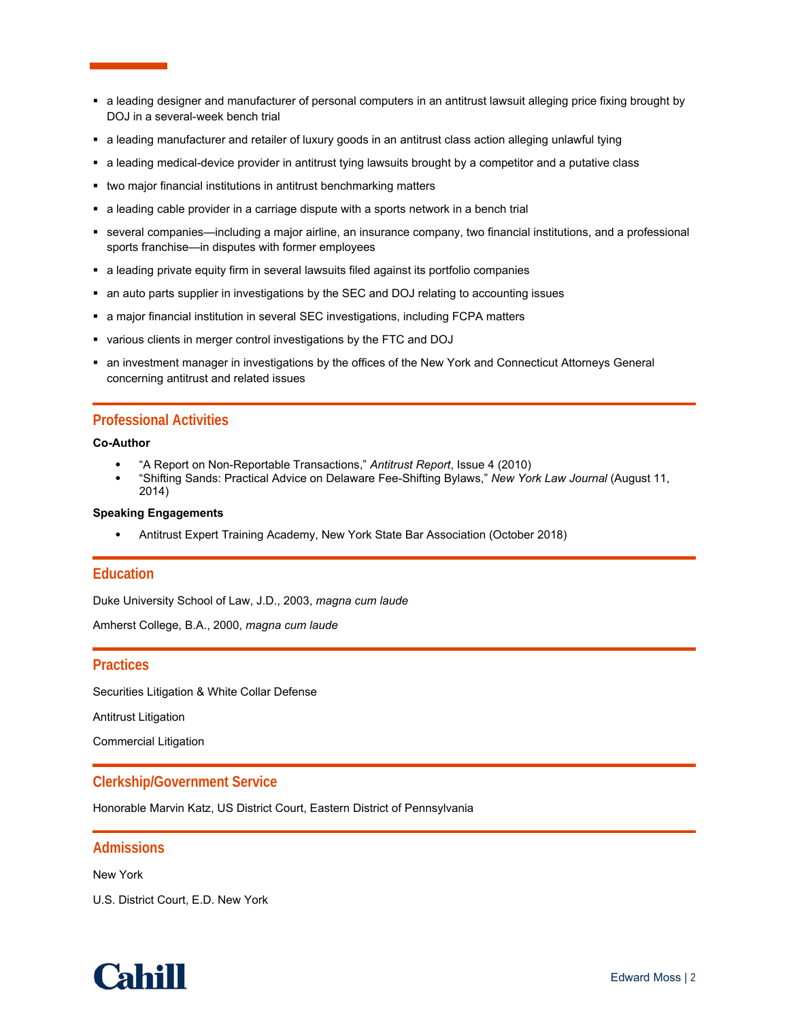- a leading designer and manufacturer of personal computers in an antitrust lawsuit alleging price fixing brought by DOJ in a several-week bench trial
- a leading manufacturer and retailer of luxury goods in an antitrust class action alleging unlawful tying
- a leading medical-device provider in antitrust tying lawsuits brought by a competitor and a putative class
- two major financial institutions in antitrust benchmarking matters
- a leading cable provider in a carriage dispute with a sports network in a bench trial
- several companies—including a major airline, an insurance company, two financial institutions, and a professional sports franchise—in disputes with former employees
- a leading private equity firm in several lawsuits filed against its portfolio companies
- an auto parts supplier in investigations by the SEC and DOJ relating to accounting issues
- a major financial institution in several SEC investigations, including FCPA matters
- various clients in merger control investigations by the FTC and DOJ
- an investment manager in investigations by the offices of the New York and Connecticut Attorneys General concerning antitrust and related issues

## **Professional Activities**

**Co-Author**

- "A Report on Non-Reportable Transactions," *Antitrust Report*, Issue 4 (2010)
- "Shifting Sands: Practical Advice on Delaware Fee-Shifting Bylaws," *New York Law Journal* (August 11, 2014)

#### **Speaking Engagements**

Antitrust Expert Training Academy, New York State Bar Association (October 2018)

## **Education**

Duke University School of Law, J.D., 2003, *magna cum laude*

Amherst College, B.A., 2000, *magna cum laude*

### **Practices**

Securities Litigation & White Collar Defense

Antitrust Litigation

Commercial Litigation

## **Clerkship/Government Service**

Honorable Marvin Katz, US District Court, Eastern District of Pennsylvania

#### **Admissions**

New York

U.S. District Court, E.D. New York